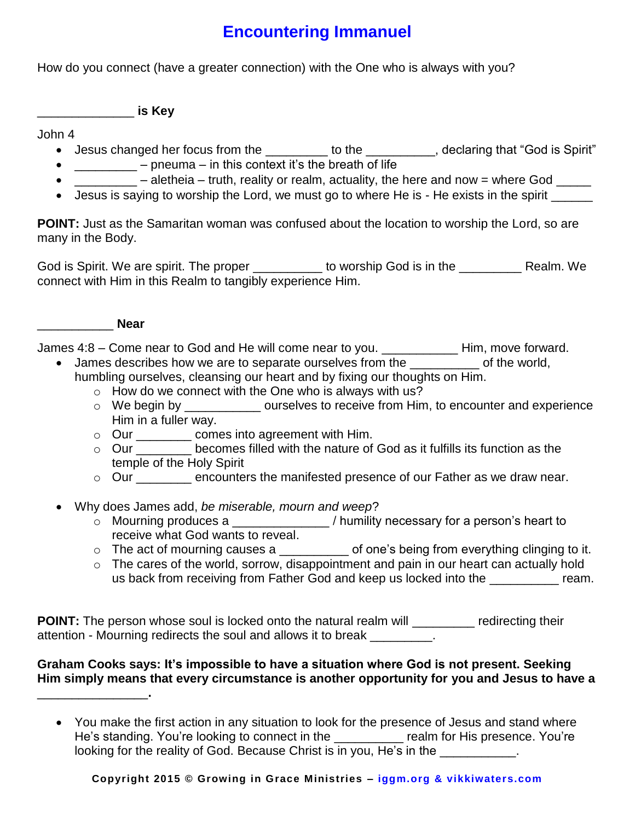## **Encountering Immanuel**

How do you connect (have a greater connection) with the One who is always with you?

\_\_\_\_\_\_\_\_\_\_\_\_\_\_ **is Key**

John 4

- Jesus changed her focus from the \_\_\_\_\_\_\_\_ to the \_\_\_\_\_\_\_\_, declaring that "God is Spirit"
- $\frac{1}{2}$  pneuma in this context it's the breath of life
- $\blacksquare$  aletheia truth, reality or realm, actuality, the here and now = where God  $\blacksquare$
- Jesus is saying to worship the Lord, we must go to where He is He exists in the spirit

**POINT:** Just as the Samaritan woman was confused about the location to worship the Lord, so are many in the Body.

God is Spirit. We are spirit. The proper \_\_\_\_\_\_\_\_\_\_ to worship God is in the \_\_\_\_\_\_\_ Realm. We connect with Him in this Realm to tangibly experience Him.



James 4:8 – Come near to God and He will come near to you. \_\_\_\_\_\_\_\_\_\_\_ Him, move forward.

- James describes how we are to separate ourselves from the electronic of the world,
	- humbling ourselves, cleansing our heart and by fixing our thoughts on Him.
		- $\circ$  How do we connect with the One who is always with us?
		- $\circ$  We begin by  $\circ$  ourselves to receive from Him, to encounter and experience Him in a fuller way.
		- o Our \_\_\_\_\_\_\_\_ comes into agreement with Him.
		- o Our \_\_\_\_\_\_\_\_ becomes filled with the nature of God as it fulfills its function as the temple of the Holy Spirit
		- o Our \_\_\_\_\_\_\_\_ encounters the manifested presence of our Father as we draw near.
- Why does James add, *be miserable, mourn and weep*?
	- o Mourning produces a \_\_\_\_\_\_\_\_\_\_\_\_\_\_ / humility necessary for a person's heart to receive what God wants to reveal.
	- o The act of mourning causes a \_\_\_\_\_\_\_\_\_\_ of one's being from everything clinging to it.
	- o The cares of the world, sorrow, disappointment and pain in our heart can actually hold us back from receiving from Father God and keep us locked into the \_\_\_\_\_\_\_\_\_\_ ream.

**POINT:** The person whose soul is locked onto the natural realm will \_\_\_\_\_\_\_\_\_ redirecting their attention - Mourning redirects the soul and allows it to break \_\_\_\_\_\_\_\_\_.

## **Graham Cooks says: It's impossible to have a situation where God is not present. Seeking Him simply means that every circumstance is another opportunity for you and Jesus to have a**  \_\_\_\_\_\_\_\_\_\_\_\_\_\_\_\_**.**

 You make the first action in any situation to look for the presence of Jesus and stand where He's standing. You're looking to connect in the The Tealm for His presence. You're looking for the reality of God. Because Christ is in you, He's in the \_\_\_\_\_\_\_\_\_\_.